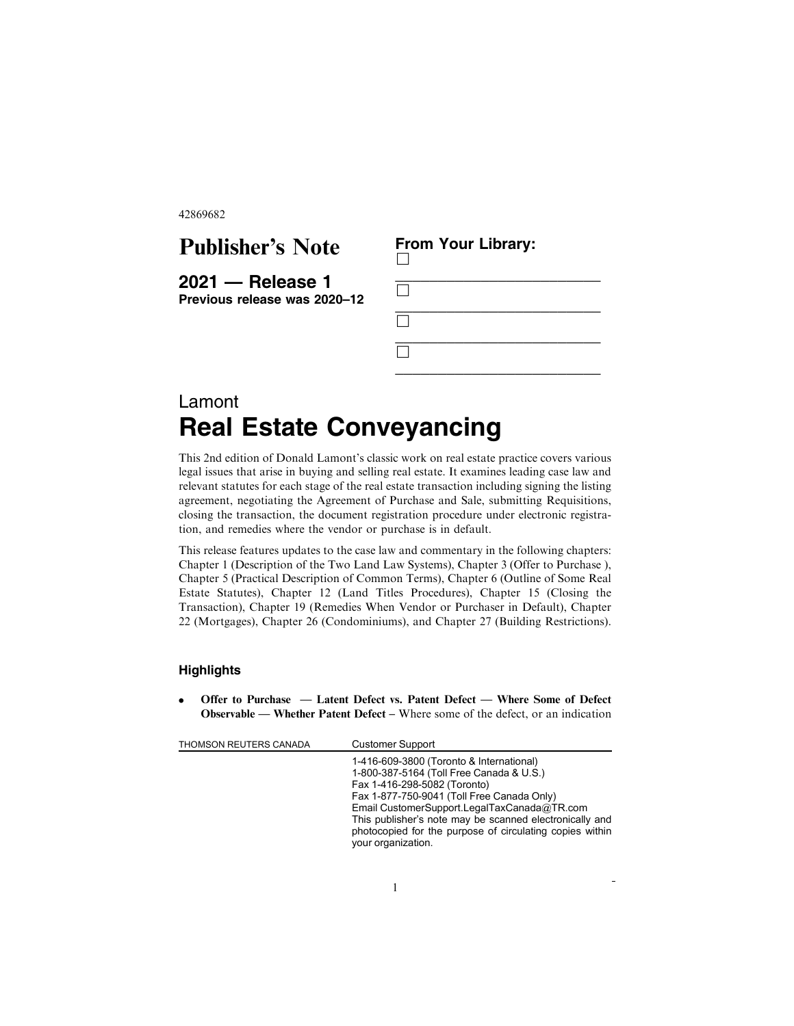42869682

## Publisher's Note

**2021 — Release 1 Previous release was 2020–12**

| $\Box$ |  |  |
|--------|--|--|
| $\Box$ |  |  |
| $\Box$ |  |  |
| $\Box$ |  |  |

**From Your Library:**

## Lamont **Real Estate Conveyancing**

This 2nd edition of Donald Lamont's classic work on real estate practice covers various legal issues that arise in buying and selling real estate. It examines leading case law and relevant statutes for each stage of the real estate transaction including signing the listing agreement, negotiating the Agreement of Purchase and Sale, submitting Requisitions, closing the transaction, the document registration procedure under electronic registration, and remedies where the vendor or purchase is in default.

This release features updates to the case law and commentary in the following chapters: Chapter 1 (Description of the Two Land Law Systems), Chapter 3 (Offer to Purchase ), Chapter 5 (Practical Description of Common Terms), Chapter 6 (Outline of Some Real Estate Statutes), Chapter 12 (Land Titles Procedures), Chapter 15 (Closing the Transaction), Chapter 19 (Remedies When Vendor or Purchaser in Default), Chapter 22 (Mortgages), Chapter 26 (Condominiums), and Chapter 27 (Building Restrictions).

## **Highlights**

Offer to Purchase  $-$  Latent Defect vs. Patent Defect  $-$  Where Some of Defect Observable — Whether Patent Defect – Where some of the defect, or an indication

| THOMSON REUTERS CANADA | <b>Customer Support</b>                                                                                                                                                                                                                                                                                                                                        |
|------------------------|----------------------------------------------------------------------------------------------------------------------------------------------------------------------------------------------------------------------------------------------------------------------------------------------------------------------------------------------------------------|
|                        | 1-416-609-3800 (Toronto & International)<br>1-800-387-5164 (Toll Free Canada & U.S.)<br>Fax 1-416-298-5082 (Toronto)<br>Fax 1-877-750-9041 (Toll Free Canada Only)<br>Email CustomerSupport.LegalTaxCanada@TR.com<br>This publisher's note may be scanned electronically and<br>photocopied for the purpose of circulating copies within<br>your organization. |